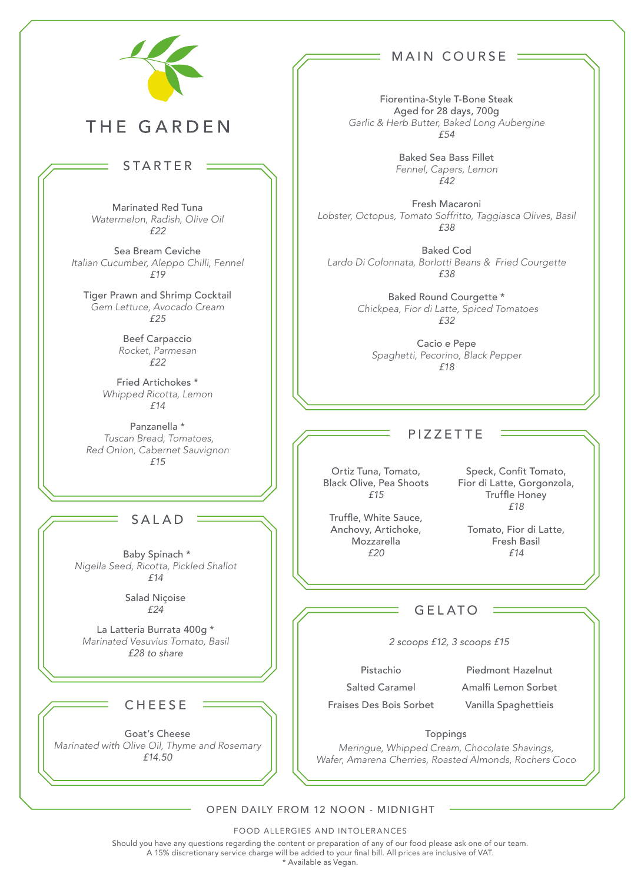

# THE GARDEN

## STARTER

Marinated Red Tuna *Watermelon, Radish, Olive Oil £22*

Sea Bream Ceviche *Italian Cucumber, Aleppo Chilli, Fennel £19*

Tiger Prawn and Shrimp Cocktail *Gem Lettuce, Avocado Cream £25*

> Beef Carpaccio *Rocket, Parmesan £22*

Fried Artichokes \* *Whipped Ricotta, Lemon £14*

Panzanella \*  *Tuscan Bread, Tomatoes, Red Onion, Cabernet Sauvignon £15*

### SALAD

 Baby Spinach \* *Nigella Seed, Ricotta, Pickled Shallot £14*

> Salad Niçoise *£24*

La Latteria Burrata 400g \* *Marinated Vesuvius Tomato, Basil £28 to share*

### **CHEESE**

Goat's Cheese *Marinated with Olive Oil, Thyme and Rosemary £14.50*

## MAIN COURSE

Fiorentina-Style T-Bone Steak Aged for 28 days, 700g *Garlic & Herb Butter, Baked Long Aubergine £54*

> Baked Sea Bass Fillet *Fennel, Capers, Lemon £42*

Fresh Macaroni *Lobster, Octopus, Tomato Soffritto, Taggiasca Olives, Basil £38*

Baked Cod *Lardo Di Colonnata, Borlotti Beans & Fried Courgette £38* 

> Baked Round Courgette \*  *Chickpea, Fior di Latte, Spiced Tomatoes £32*

Cacio e Pepe *Spaghetti, Pecorino, Black Pepper £18*

#### PIZZETTE

Ortiz Tuna, Tomato, Black Olive, Pea Shoots *£15*

Truffle, White Sauce, Anchovy, Artichoke, Mozzarella *£20*

Speck, Confit Tomato, Fior di Latte, Gorgonzola, Truffle Honey *£18*

Tomato, Fior di Latte, Fresh Basil *£14*

### GELATO

*2 scoops £12, 3 scoops £15*

Pistachio Salted Caramel Fraises Des Bois Sorbet

Piedmont Hazelnut Amalfi Lemon Sorbet Vanilla Spaghettieis

Toppings *Meringue, Whipped Cream, Chocolate Shavings, Wafer, Amarena Cherries, Roasted Almonds, Rochers Coco*

#### OPEN DAILY FROM 12 NOON - MIDNIGHT

FOOD ALLERGIES AND INTOLERANCES

Should you have any questions regarding the content or preparation of any of our food please ask one of our team.

A 15% discretionary service charge will be added to your final bill. All prices are inclusive of VAT.